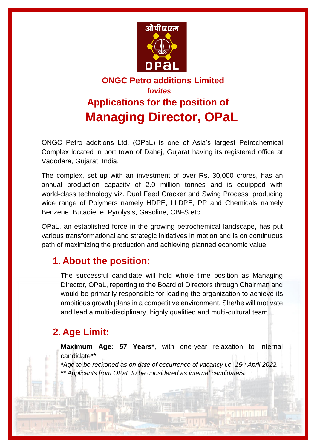

# **ONGC Petro additions Limited**   *Invites*  **Applications for the position of Managing Director, OPaL**

ONGC Petro additions Ltd. (OPaL) is one of Asia's largest Petrochemical Complex located in port town of Dahej, Gujarat having its registered office at Vadodara, Gujarat, India.

The complex, set up with an investment of over Rs. 30,000 crores, has an annual production capacity of 2.0 million tonnes and is equipped with world-class technology viz. Dual Feed Cracker and Swing Process, producing wide range of Polymers namely HDPE, LLDPE, PP and Chemicals namely Benzene, Butadiene, Pyrolysis, Gasoline, CBFS etc.

OPaL, an established force in the growing petrochemical landscape, has put various transformational and strategic initiatives in motion and is on continuous path of maximizing the production and achieving planned economic value.

### **1. About the position:**

The successful candidate will hold whole time position as Managing Director, OPaL, reporting to the Board of Directors through Chairman and would be primarily responsible for leading the organization to achieve its ambitious growth plans in a competitive environment. She/he will motivate and lead a multi-disciplinary, highly qualified and multi-cultural team.

## **2. Age Limit:**

**Maximum Age: 57 Years\***, with one-year relaxation to internal candidate\*\*.

*\*Age to be reckoned as on date of occurrence of vacancy i.e. 15th April 2022. \*\* Applicants from OPaL to be considered as internal candidate/s.*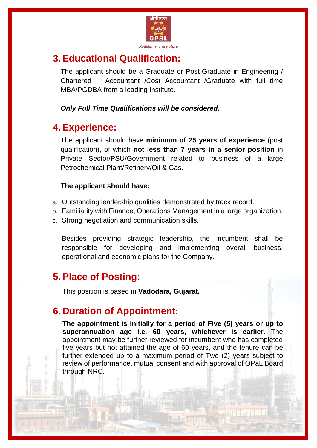

## **3. Educational Qualification:**

The applicant should be a Graduate or Post-Graduate in Engineering / Chartered Accountant /Cost Accountant /Graduate with full time MBA/PGDBA from a leading Institute.

*Only Full Time Qualifications will be considered.*

#### **4. Experience:**

The applicant should have **minimum of 25 years of experience** (post qualification), of which **not less than 7 years in a senior position** in Private Sector/PSU/Government related to business of a large Petrochemical Plant/Refinery/Oil & Gas.

#### **The applicant should have:**

- a. Outstanding leadership qualities demonstrated by track record.
- b. Familiarity with Finance, Operations Management in a large organization.
- c. Strong negotiation and communication skills.

Besides providing strategic leadership, the incumbent shall be responsible for developing and implementing overall business, operational and economic plans for the Company.

### **5. Place of Posting:**

l

This position is based in **Vadodara, Gujarat.**

## **6. Duration of Appointment:**

**The appointment is initially for a period of Five (5) years or up to superannuation age i.e. 60 years, whichever is earlier.** The appointment may be further reviewed for incumbent who has completed five years but not attained the age of 60 years, and the tenure can be further extended up to a maximum period of Two (2) years subject to review of performance, mutual consent and with approval of OPaL Board through NRC.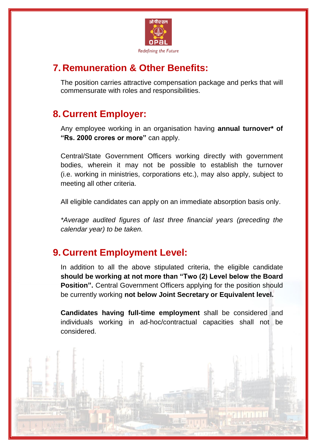

## **7. Remuneration & Other Benefits:**

The position carries attractive compensation package and perks that will commensurate with roles and responsibilities.

## **8. Current Employer:**

Any employee working in an organisation having **annual turnover\* of "Rs. 2000 crores or more"** can apply.

Central/State Government Officers working directly with government bodies, wherein it may not be possible to establish the turnover (i.e. working in ministries, corporations etc.), may also apply, subject to meeting all other criteria.

All eligible candidates can apply on an immediate absorption basis only.

*\*Average audited figures of last three financial years (preceding the calendar year) to be taken.*

### **9. Current Employment Level:**

In addition to all the above stipulated criteria, the eligible candidate **should be working at not more than "Two (2) Level below the Board Position".** Central Government Officers applying for the position should be currently working **not below Joint Secretary or Equivalent level.** 

**Candidates having full-time employment** shall be considered and individuals working in ad-hoc/contractual capacities shall not be considered.